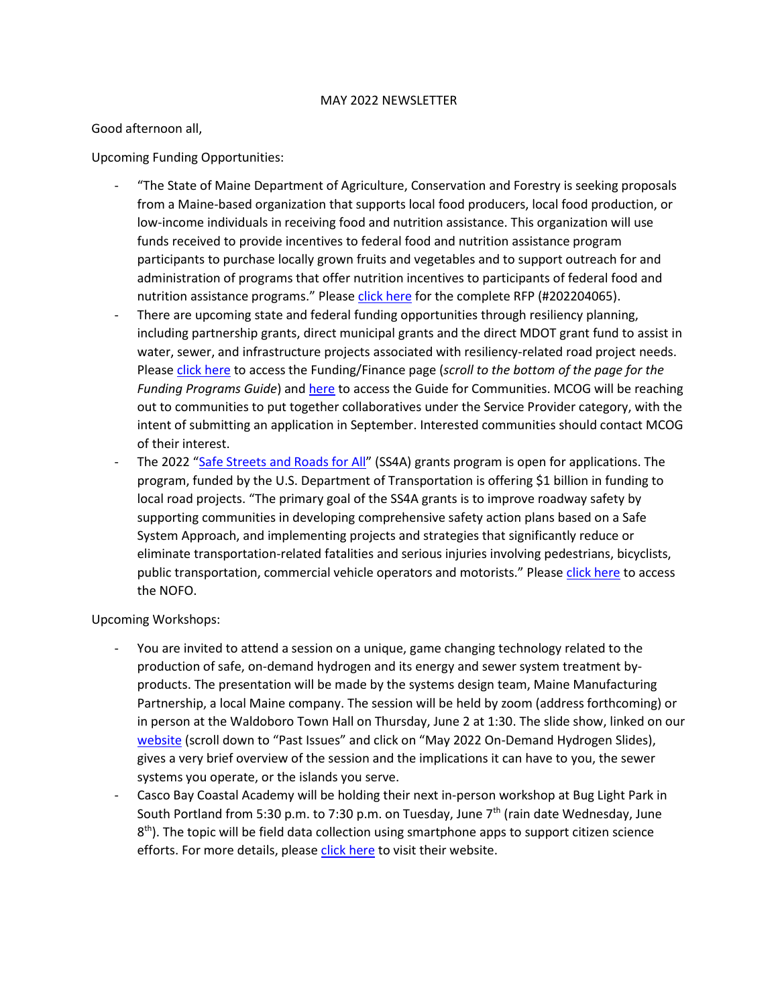## MAY 2022 NEWSLETTER

Good afternoon all,

Upcoming Funding Opportunities:

- "The State of Maine Department of Agriculture, Conservation and Forestry is seeking proposals from a Maine-based organization that supports local food producers, local food production, or low-income individuals in receiving food and nutrition assistance. This organization will use funds received to provide incentives to federal food and nutrition assistance program participants to purchase locally grown fruits and vegetables and to support outreach for and administration of programs that offer nutrition incentives to participants of federal food and nutrition assistance programs." Please [click here](https://www.maine.gov/dafs/bbm/procurementservices/vendors/rfps) for the complete RFP (#202204065).
- There are upcoming state and federal funding opportunities through resiliency planning, including partnership grants, direct municipal grants and the direct MDOT grant fund to assist in water, sewer, and infrastructure projects associated with resiliency-related road project needs. Please [click here](https://extension.umaine.edu/climatesolutions/funding-finance/) to access the Funding/Finance page (*scroll to the bottom of the page for the Funding Programs Guide*) and [here](https://neefc.org/wp-content/uploads/2022/01/Navigating-Federal-Funding-Landscape.pdf) to access the Guide for Communities. MCOG will be reaching out to communities to put together collaboratives under the Service Provider category, with the intent of submitting an application in September. Interested communities should contact MCOG of their interest.
- The 2022 "[Safe Streets and Roads for All](https://www.transportation.gov/SS4A)" (SS4A) grants program is open for applications. The program, funded by the U.S. Department of Transportation is offering \$1 billion in funding to local road projects. "The primary goal of the SS4A grants is to improve roadway safety by supporting communities in developing comprehensive safety action plans based on a Safe System Approach, and implementing projects and strategies that significantly reduce or eliminate transportation-related fatalities and serious injuries involving pedestrians, bicyclists, public transportation, commercial vehicle operators and motorists." Please [click here](https://www.grants.gov/web/grants/view-opportunity.html?oppId=340385) to access the NOFO.

Upcoming Workshops:

- You are invited to attend a session on a unique, game changing technology related to the production of safe, on-demand hydrogen and its energy and sewer system treatment byproducts. The presentation will be made by the systems design team, Maine Manufacturing Partnership, a local Maine company. The session will be held by zoom (address forthcoming) or in person at the Waldoboro Town Hall on Thursday, June 2 at 1:30. The slide show, linked on our [website](https://www.midcoastcog.com/general-9) (scroll down to "Past Issues" and click on "May 2022 On-Demand Hydrogen Slides), gives a very brief overview of the session and the implications it can have to you, the sewer systems you operate, or the islands you serve.
- Casco Bay Coastal Academy will be holding their next in-person workshop at Bug Light Park in South Portland from 5:30 p.m. to 7:30 p.m. on Tuesday, June 7<sup>th</sup> (rain date Wednesday, June 8<sup>th</sup>). The topic will be field data collection using smartphone apps to support citizen science efforts. For more details, pleas[e click here](https://www.cumberlandswcd.org/conservation-shop/p/conservation-citizen-science-using-your-phone-to-help-manage-public-parks-and-trails) to visit their website.